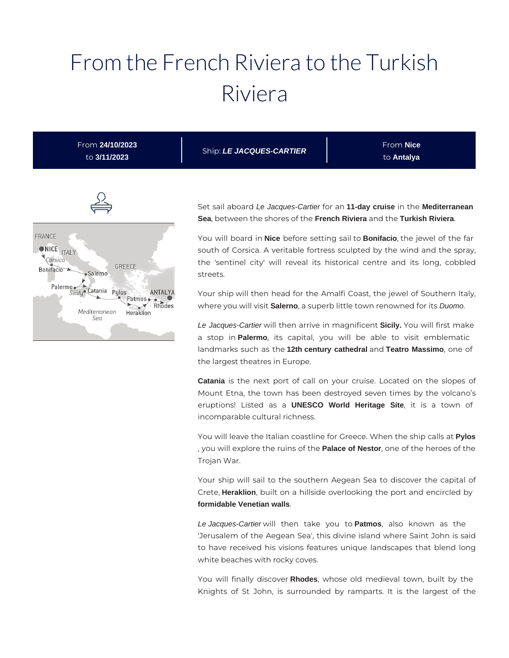# From the French Riviera to the Turkish Riviera

| From 24/10/2023<br>to 3/11/2023 | Ship: LE JACQUES-CARTIER | From <b>Nice</b><br>to Antalya |
|---------------------------------|--------------------------|--------------------------------|
|                                 |                          |                                |



Set sail aboard Le Jacques-Cartier for an **11-day cruise** in the **Mediterranean Sea**, between the shores of the **French Riviera** and the **Turkish Riviera**.

You will board in **Nice** before setting sail to **Bonifacio**, the jewel of the far south of Corsica. A veritable fortress sculpted by the wind and the spray, the 'sentinel city' will reveal its historical centre and its long, cobbled streets.

Your ship will then head for the Amalfi Coast, the jewel of Southern Italy, where you will visit **Salerno**, a superb little town renowned for its Duomo.

Le Jacques-Cartier will then arrive in magnificent **Sicily.** You will first make a stop in **Palermo**, its capital, you will be able to visit emblematic landmarks such as the **12th century cathedral** and **Teatro Massimo**, one of the largest theatres in Europe.

**Catania** is the next port of call on your cruise. Located on the slopes of Mount Etna, the town has been destroyed seven times by the volcano's eruptions! Listed as a **UNESCO World Heritage Site**, it is a town of incomparable cultural richness.

You will leave the Italian coastline for Greece. When the ship calls at **Pylos** , you will explore the ruins of the **Palace of Nestor**, one of the heroes of the Trojan War.

Your ship will sail to the southern Aegean Sea to discover the capital of Crete, **Heraklion**, built on a hillside overlooking the port and encircled by **formidable Venetian walls**.

Le Jacques-Cartier will then take you to **Patmos**, also known as the 'Jerusalem of the Aegean Sea', this divine island where Saint John is said to have received his visions features unique landscapes that blend long white beaches with rocky coves.

You will finally discover **Rhodes**, whose old medieval town, built by the Knights of St John, is surrounded by ramparts. It is the largest of the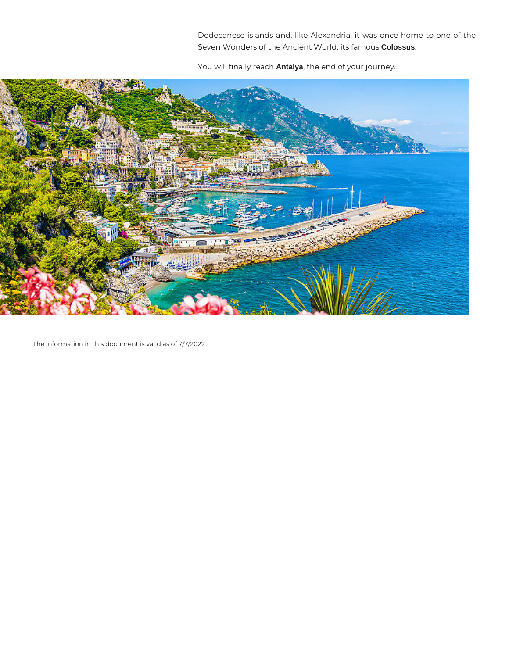Dodecanese islands and, like Alexandria, it was once home to one of the Seven Wonders of the Ancient World: its famous **Colossus**.

You will finally reach **Antalya**, the end of your journey.



The information in this document is valid as of 7/7/2022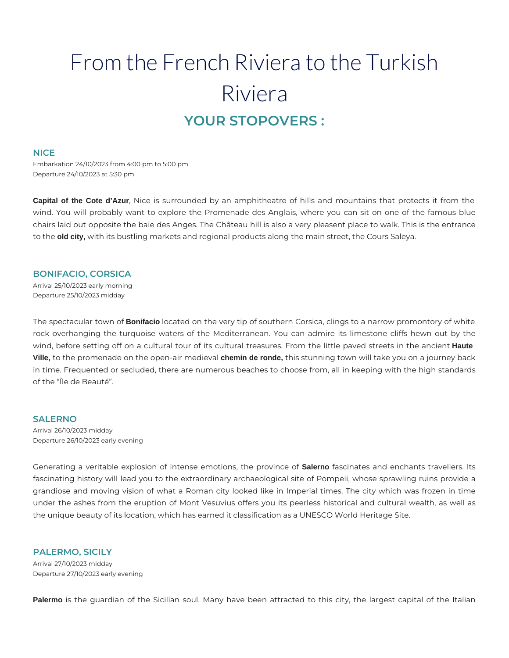# From the French Riviera to the Turkish Riviera **YOUR STOPOVERS :**

#### **NICE**

Embarkation 24/10/2023 from 4:00 pm to 5:00 pm Departure 24/10/2023 at 5:30 pm

**Capital of the Cote d'Azur**, Nice is surrounded by an amphitheatre of hills and mountains that protects it from the wind. You will probably want to explore the Promenade des Anglais, where you can sit on one of the famous blue chairs laid out opposite the baie des Anges. The Château hill is also a very pleasent place to walk. This is the entrance to the **old city,** with its bustling markets and regional products along the main street, the Cours Saleya.

### **BONIFACIO, CORSICA**

Arrival 25/10/2023 early morning Departure 25/10/2023 midday

The spectacular town of **Bonifacio** located on the very tip of southern Corsica, clings to a narrow promontory of white rock overhanging the turquoise waters of the Mediterranean. You can admire its limestone cliffs hewn out by the wind, before setting off on a cultural tour of its cultural treasures. From the little paved streets in the ancient **Haute Ville,** to the promenade on the open-air medieval **chemin de ronde,** this stunning town will take you on a journey back in time. Frequented or secluded, there are numerous beaches to choose from, all in keeping with the high standards of the "Île de Beauté".

#### **SALERNO**

Arrival 26/10/2023 midday Departure 26/10/2023 early evening

Generating a veritable explosion of intense emotions, the province of **Salerno** fascinates and enchants travellers. Its fascinating history will lead you to the extraordinary archaeological site of Pompeii, whose sprawling ruins provide a grandiose and moving vision of what a Roman city looked like in Imperial times. The city which was frozen in time under the ashes from the eruption of Mont Vesuvius offers you its peerless historical and cultural wealth, as well as the unique beauty of its location, which has earned it classification as a UNESCO World Heritage Site.

#### **PALERMO, SICILY**

Arrival 27/10/2023 midday Departure 27/10/2023 early evening

**Palermo** is the guardian of the Sicilian soul. Many have been attracted to this city, the largest capital of the Italian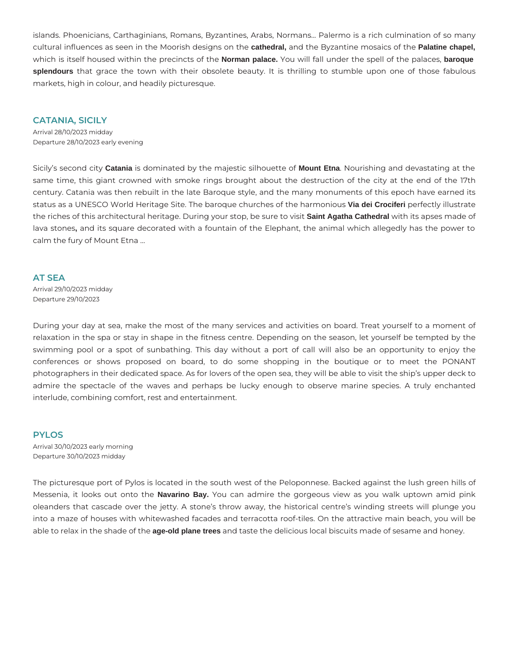islands. Phoenicians, Carthaginians, Romans, Byzantines, Arabs, Normans... Palermo is a rich culmination of so many cultural influences as seen in the Moorish designs on the **cathedral,** and the Byzantine mosaics of the **Palatine chapel,** which is itself housed within the precincts of the **Norman palace.** You will fall under the spell of the palaces, **baroque splendours** that grace the town with their obsolete beauty. It is thrilling to stumble upon one of those fabulous markets, high in colour, and headily picturesque.

#### **CATANIA, SICILY**

Arrival 28/10/2023 midday Departure 28/10/2023 early evening

Sicily's second city **Catania** is dominated by the majestic silhouette of **Mount Etna**. Nourishing and devastating at the same time, this giant crowned with smoke rings brought about the destruction of the city at the end of the 17th century. Catania was then rebuilt in the late Baroque style, and the many monuments of this epoch have earned its status as a UNESCO World Heritage Site. The baroque churches of the harmonious **Via dei Crociferi** perfectly illustrate the riches of this architectural heritage. During your stop, be sure to visit **Saint Agatha Cathedral** with its apses made of lava stones**,** and its square decorated with a fountain of the Elephant, the animal which allegedly has the power to calm the fury of Mount Etna …

#### **AT SEA**

Arrival 29/10/2023 midday Departure 29/10/2023

During your day at sea, make the most of the many services and activities on board. Treat yourself to a moment of relaxation in the spa or stay in shape in the fitness centre. Depending on the season, let yourself be tempted by the swimming pool or a spot of sunbathing. This day without a port of call will also be an opportunity to enjoy the conferences or shows proposed on board, to do some shopping in the boutique or to meet the PONANT photographers in their dedicated space. As for lovers of the open sea, they will be able to visit the ship's upper deck to admire the spectacle of the waves and perhaps be lucky enough to observe marine species. A truly enchanted interlude, combining comfort, rest and entertainment.

#### **PYLOS**

Arrival 30/10/2023 early morning Departure 30/10/2023 midday

The picturesque port of Pylos is located in the south west of the Peloponnese. Backed against the lush green hills of Messenia, it looks out onto the **Navarino Bay.** You can admire the gorgeous view as you walk uptown amid pink oleanders that cascade over the jetty. A stone's throw away, the historical centre's winding streets will plunge you into a maze of houses with whitewashed facades and terracotta roof-tiles. On the attractive main beach, you will be able to relax in the shade of the **age-old plane trees** and taste the delicious local biscuits made of sesame and honey.